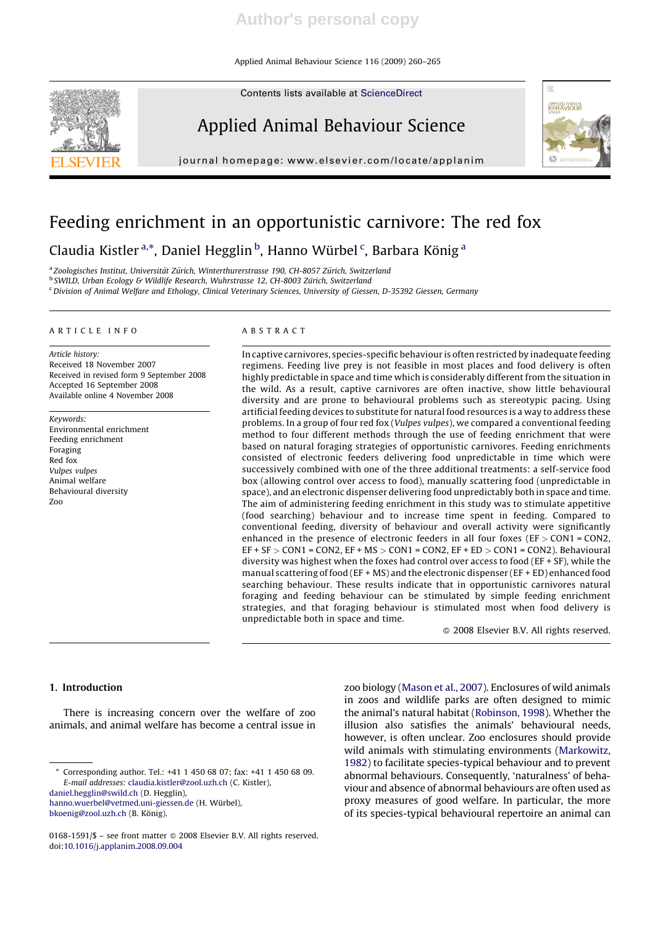Applied Animal Behaviour Science 116 (2009) 260–265

Contents lists available at ScienceDirect

# Applied Animal Behaviour Science

journal homepage: www.elsevier.com/locate/applanim

# Feeding enrichment in an opportunistic carnivore: The red fox

# Claudia Kistler<sup>a,\*</sup>, Daniel Hegglin<sup>b</sup>, Hanno Würbel<sup>c</sup>, Barbara König<sup>a</sup>

<sup>a</sup> Zoologisches Institut, Universität Zürich, Winterthurerstrasse 190, CH-8057 Zürich, Switzerland

<sup>b</sup> SWILD, Urban Ecology & Wildlife Research, Wuhrstrasse 12, CH-8003 Zürich, Switzerland

<sup>c</sup> Division of Animal Welfare and Ethology, Clinical Veterinary Sciences, University of Giessen, D-35392 Giessen, Germany

# ARTICLE INFO

Article history: Received 18 November 2007 Received in revised form 9 September 2008 Accepted 16 September 2008 Available online 4 November 2008

Keywords: Environmental enrichment Feeding enrichment Foraging Red fox Vulpes vulpes Animal welfare Behavioural diversity Zoo

## ABSTRACT

In captive carnivores, species-specific behaviour is often restricted by inadequate feeding regimens. Feeding live prey is not feasible in most places and food delivery is often highly predictable in space and time which is considerably different from the situation in the wild. As a result, captive carnivores are often inactive, show little behavioural diversity and are prone to behavioural problems such as stereotypic pacing. Using artificial feeding devices to substitute for natural food resources is a way to address these problems. In a group of four red fox (Vulpes vulpes), we compared a conventional feeding method to four different methods through the use of feeding enrichment that were based on natural foraging strategies of opportunistic carnivores. Feeding enrichments consisted of electronic feeders delivering food unpredictable in time which were successively combined with one of the three additional treatments: a self-service food box (allowing control over access to food), manually scattering food (unpredictable in space), and an electronic dispenser delivering food unpredictably both in space and time. The aim of administering feeding enrichment in this study was to stimulate appetitive (food searching) behaviour and to increase time spent in feeding. Compared to conventional feeding, diversity of behaviour and overall activity were significantly enhanced in the presence of electronic feeders in all four foxes ( $EF > CON1 = CON2$ ,  $EF + SF > CON1 = CON2$ ,  $EF + MS > CON1 = CON2$ ,  $EF + ED > CON1 = CON2$ ). Behavioural diversity was highest when the foxes had control over access to food ( $EF + SF$ ), while the manual scattering of food (EF + MS) and the electronic dispenser (EF + ED) enhanced food searching behaviour. These results indicate that in opportunistic carnivores natural foraging and feeding behaviour can be stimulated by simple feeding enrichment strategies, and that foraging behaviour is stimulated most when food delivery is unpredictable both in space and time.

- 2008 Elsevier B.V. All rights reserved.

### 1. Introduction

There is increasing concern over the welfare of zoo animals, and animal welfare has become a central issue in

daniel.hegglin@swild.ch (D. Hegglin),

zoo biology (Mason et al., 2007). Enclosures of wild animals in zoos and wildlife parks are often designed to mimic the animal's natural habitat (Robinson, 1998). Whether the illusion also satisfies the animals' behavioural needs, however, is often unclear. Zoo enclosures should provide wild animals with stimulating environments (Markowitz, 1982) to facilitate species-typical behaviour and to prevent abnormal behaviours. Consequently, 'naturalness' of behaviour and absence of abnormal behaviours are often used as proxy measures of good welfare. In particular, the more of its species-typical behavioural repertoire an animal can





Corresponding author. Tel.: +41 1 450 68 07; fax: +41 1 450 68 09. E-mail addresses: claudia.kistler@zool.uzh.ch (C. Kistler),

hanno.wuerbel@vetmed.uni-giessen.de (H. Würbel), bkoenig@zool.uzh.ch (B. König).

<sup>0168-1591/\$ –</sup> see front matter © 2008 Elsevier B.V. All rights reserved. doi:10.1016/j.applanim.2008.09.004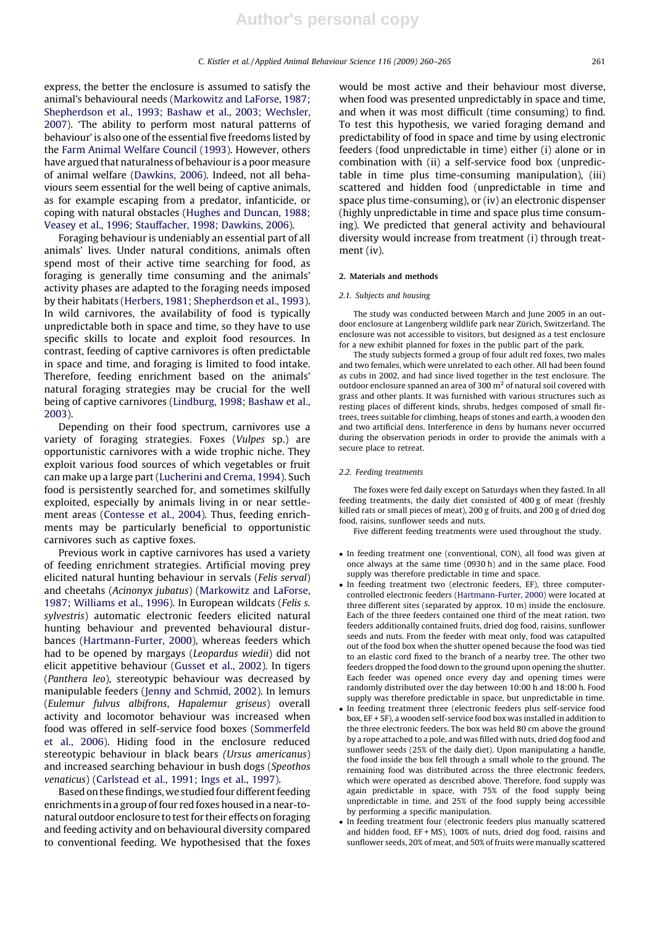express, the better the enclosure is assumed to satisfy the animal's behavioural needs (Markowitz and LaForse, 1987; Shepherdson et al., 1993; Bashaw et al., 2003; Wechsler, 2007). 'The ability to perform most natural patterns of behaviour' is also one of the essential five freedoms listed by the Farm Animal Welfare Council (1993). However, others have argued that naturalness of behaviour is a poor measure of animal welfare (Dawkins, 2006). Indeed, not all behaviours seem essential for the well being of captive animals, as for example escaping from a predator, infanticide, or coping with natural obstacles (Hughes and Duncan, 1988; Veasey et al., 1996; Stauffacher, 1998; Dawkins, 2006).

Foraging behaviour is undeniably an essential part of all animals' lives. Under natural conditions, animals often spend most of their active time searching for food, as foraging is generally time consuming and the animals' activity phases are adapted to the foraging needs imposed by their habitats (Herbers, 1981; Shepherdson et al., 1993). In wild carnivores, the availability of food is typically unpredictable both in space and time, so they have to use specific skills to locate and exploit food resources. In contrast, feeding of captive carnivores is often predictable in space and time, and foraging is limited to food intake. Therefore, feeding enrichment based on the animals' natural foraging strategies may be crucial for the well being of captive carnivores (Lindburg, 1998; Bashaw et al., 2003).

Depending on their food spectrum, carnivores use a variety of foraging strategies. Foxes (Vulpes sp.) are opportunistic carnivores with a wide trophic niche. They exploit various food sources of which vegetables or fruit can make up a large part (Lucherini and Crema, 1994). Such food is persistently searched for, and sometimes skilfully exploited, especially by animals living in or near settlement areas (Contesse et al., 2004). Thus, feeding enrichments may be particularly beneficial to opportunistic carnivores such as captive foxes.

Previous work in captive carnivores has used a variety of feeding enrichment strategies. Artificial moving prey elicited natural hunting behaviour in servals (Felis serval) and cheetahs (Acinonyx jubatus) (Markowitz and LaForse, 1987; Williams et al., 1996). In European wildcats (Felis s. sylvestris) automatic electronic feeders elicited natural hunting behaviour and prevented behavioural disturbances (Hartmann-Furter, 2000), whereas feeders which had to be opened by margays (Leopardus wiedii) did not elicit appetitive behaviour (Gusset et al., 2002). In tigers (Panthera leo), stereotypic behaviour was decreased by manipulable feeders (Jenny and Schmid, 2002). In lemurs (Eulemur fulvus albifrons, Hapalemur griseus) overall activity and locomotor behaviour was increased when food was offered in self-service food boxes (Sommerfeld et al., 2006). Hiding food in the enclosure reduced stereotypic behaviour in black bears (Ursus americanus) and increased searching behaviour in bush dogs (Speothos venaticus) (Carlstead et al., 1991; Ings et al., 1997).

Based on these findings, we studied four different feeding enrichments in a group of four red foxes housed in a near-tonatural outdoor enclosure to test for their effects on foraging and feeding activity and on behavioural diversity compared to conventional feeding. We hypothesised that the foxes

would be most active and their behaviour most diverse, when food was presented unpredictably in space and time, and when it was most difficult (time consuming) to find. To test this hypothesis, we varied foraging demand and predictability of food in space and time by using electronic feeders (food unpredictable in time) either (i) alone or in combination with (ii) a self-service food box (unpredictable in time plus time-consuming manipulation), (iii) scattered and hidden food (unpredictable in time and space plus time-consuming), or (iv) an electronic dispenser (highly unpredictable in time and space plus time consuming). We predicted that general activity and behavioural diversity would increase from treatment (i) through treatment (iv).

#### 2. Materials and methods

#### 2.1. Subjects and housing

The study was conducted between March and June 2005 in an outdoor enclosure at Langenberg wildlife park near Zürich, Switzerland. The enclosure was not accessible to visitors, but designed as a test enclosure for a new exhibit planned for foxes in the public part of the park.

The study subjects formed a group of four adult red foxes, two males and two females, which were unrelated to each other. All had been found as cubs in 2002, and had since lived together in the test enclosure. The outdoor enclosure spanned an area of 300  $m<sup>2</sup>$  of natural soil covered with grass and other plants. It was furnished with various structures such as resting places of different kinds, shrubs, hedges composed of small firtrees, trees suitable for climbing, heaps of stones and earth, a wooden den and two artificial dens. Interference in dens by humans never occurred during the observation periods in order to provide the animals with a secure place to retreat.

#### 2.2. Feeding treatments

The foxes were fed daily except on Saturdays when they fasted. In all feeding treatments, the daily diet consisted of 400 g of meat (freshly killed rats or small pieces of meat), 200 g of fruits, and 200 g of dried dog food, raisins, sunflower seeds and nuts.

Five different feeding treatments were used throughout the study.

- In feeding treatment one (conventional, CON), all food was given at once always at the same time (0930 h) and in the same place. Food supply was therefore predictable in time and space.
- In feeding treatment two (electronic feeders, EF), three computercontrolled electronic feeders (Hartmann-Furter, 2000) were located at three different sites (separated by approx. 10 m) inside the enclosure. Each of the three feeders contained one third of the meat ration, two feeders additionally contained fruits, dried dog food, raisins, sunflower seeds and nuts. From the feeder with meat only, food was catapulted out of the food box when the shutter opened because the food was tied to an elastic cord fixed to the branch of a nearby tree. The other two feeders dropped the food down to the ground upon opening the shutter. Each feeder was opened once every day and opening times were randomly distributed over the day between 10:00 h and 18:00 h. Food supply was therefore predictable in space, but unpredictable in time.
- In feeding treatment three (electronic feeders plus self-service food box, EF + SF), a wooden self-service food box was installed in addition to the three electronic feeders. The box was held 80 cm above the ground by a rope attached to a pole, and was filled with nuts, dried dog food and sunflower seeds (25% of the daily diet). Upon manipulating a handle, the food inside the box fell through a small whole to the ground. The remaining food was distributed across the three electronic feeders, which were operated as described above. Therefore, food supply was again predictable in space, with 75% of the food supply being unpredictable in time, and 25% of the food supply being accessible by performing a specific manipulation.
- In feeding treatment four (electronic feeders plus manually scattered and hidden food, EF + MS), 100% of nuts, dried dog food, raisins and sunflower seeds, 20% of meat, and 50% of fruits were manually scattered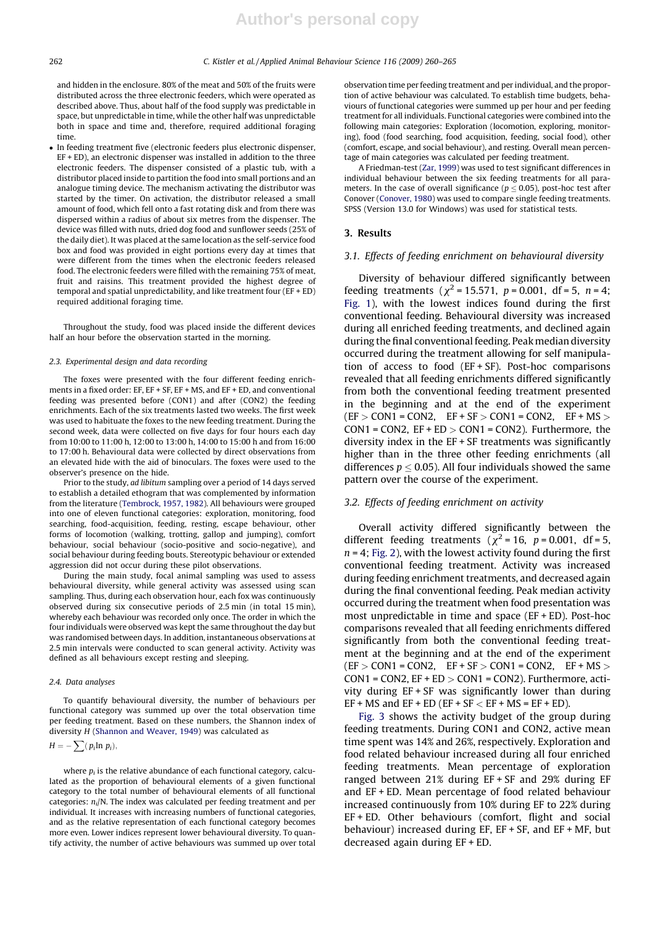and hidden in the enclosure. 80% of the meat and 50% of the fruits were distributed across the three electronic feeders, which were operated as described above. Thus, about half of the food supply was predictable in space, but unpredictable in time, while the other half was unpredictable both in space and time and, therefore, required additional foraging time.

-In feeding treatment five (electronic feeders plus electronic dispenser, EF + ED), an electronic dispenser was installed in addition to the three electronic feeders. The dispenser consisted of a plastic tub, with a distributor placed inside to partition the food into small portions and an analogue timing device. The mechanism activating the distributor was started by the timer. On activation, the distributor released a small amount of food, which fell onto a fast rotating disk and from there was dispersed within a radius of about six metres from the dispenser. The device was filled with nuts, dried dog food and sunflower seeds (25% of the daily diet). It was placed at the same location as the self-service food box and food was provided in eight portions every day at times that were different from the times when the electronic feeders released food. The electronic feeders were filled with the remaining 75% of meat, fruit and raisins. This treatment provided the highest degree of temporal and spatial unpredictability, and like treatment four (EF + ED) required additional foraging time.

Throughout the study, food was placed inside the different devices half an hour before the observation started in the morning.

#### 2.3. Experimental design and data recording

The foxes were presented with the four different feeding enrichments in a fixed order: EF, EF + SF, EF + MS, and EF + ED, and conventional feeding was presented before (CON1) and after (CON2) the feeding enrichments. Each of the six treatments lasted two weeks. The first week was used to habituate the foxes to the new feeding treatment. During the second week, data were collected on five days for four hours each day from 10:00 to 11:00 h, 12:00 to 13:00 h, 14:00 to 15:00 h and from 16:00 to 17:00 h. Behavioural data were collected by direct observations from an elevated hide with the aid of binoculars. The foxes were used to the observer's presence on the hide.

Prior to the study, ad libitum sampling over a period of 14 days served to establish a detailed ethogram that was complemented by information from the literature (Tembrock, 1957, 1982). All behaviours were grouped into one of eleven functional categories: exploration, monitoring, food searching, food-acquisition, feeding, resting, escape behaviour, other forms of locomotion (walking, trotting, gallop and jumping), comfort behaviour, social behaviour (socio-positive and socio-negative), and social behaviour during feeding bouts. Stereotypic behaviour or extended aggression did not occur during these pilot observations.

During the main study, focal animal sampling was used to assess behavioural diversity, while general activity was assessed using scan sampling. Thus, during each observation hour, each fox was continuously observed during six consecutive periods of 2.5 min (in total 15 min), whereby each behaviour was recorded only once. The order in which the four individuals were observed was kept the same throughout the day but was randomised between days. In addition, instantaneous observations at 2.5 min intervals were conducted to scan general activity. Activity was defined as all behaviours except resting and sleeping.

#### 2.4. Data analyses

To quantify behavioural diversity, the number of behaviours per functional category was summed up over the total observation time per feeding treatment. Based on these numbers, the Shannon index of diversity H (Shannon and Weaver, 1949) was calculated as

$$
H=-\sum(p_i\ln p_i),
$$

where  $p_i$  is the relative abundance of each functional category, calculated as the proportion of behavioural elements of a given functional category to the total number of behavioural elements of all functional categories:  $n_i/N$ . The index was calculated per feeding treatment and per individual. It increases with increasing numbers of functional categories, and as the relative representation of each functional category becomes more even. Lower indices represent lower behavioural diversity. To quantify activity, the number of active behaviours was summed up over total observation time per feeding treatment and per individual, and the proportion of active behaviour was calculated. To establish time budgets, behaviours of functional categories were summed up per hour and per feeding treatment for all individuals. Functional categories were combined into the following main categories: Exploration (locomotion, exploring, monitoring), food (food searching, food acquisition, feeding, social food), other (comfort, escape, and social behaviour), and resting. Overall mean percentage of main categories was calculated per feeding treatment.

A Friedman-test (Zar, 1999) was used to test significant differences in individual behaviour between the six feeding treatments for all parameters. In the case of overall significance ( $p < 0.05$ ), post-hoc test after Conover (Conover, 1980) was used to compare single feeding treatments. SPSS (Version 13.0 for Windows) was used for statistical tests.

## 3. Results

#### 3.1. Effects of feeding enrichment on behavioural diversity

Diversity of behaviour differed significantly between feeding treatments ( $\chi^2$  = 15.571, p = 0.001, df = 5, n = 4; Fig. 1), with the lowest indices found during the first conventional feeding. Behavioural diversity was increased during all enriched feeding treatments, and declined again during the final conventional feeding. Peak median diversity occurred during the treatment allowing for self manipulation of access to food  $(EF + SF)$ . Post-hoc comparisons revealed that all feeding enrichments differed significantly from both the conventional feeding treatment presented in the beginning and at the end of the experiment  $(EF > CON1 = CON2, EF + SF > CON1 = CON2, EF + MS >$  $CON1 = CON2$ ,  $EF + ED > CON1 = CON2$ ). Furthermore, the diversity index in the EF + SF treatments was significantly higher than in the three other feeding enrichments (all differences  $p \leq 0.05$ ). All four individuals showed the same pattern over the course of the experiment.

# 3.2. Effects of feeding enrichment on activity

Overall activity differed significantly between the different feeding treatments ( $\chi^2$  = 16, p = 0.001, df = 5,  $n = 4$ ; Fig. 2), with the lowest activity found during the first conventional feeding treatment. Activity was increased during feeding enrichment treatments, and decreased again during the final conventional feeding. Peak median activity occurred during the treatment when food presentation was most unpredictable in time and space (EF + ED). Post-hoc comparisons revealed that all feeding enrichments differed significantly from both the conventional feeding treatment at the beginning and at the end of the experiment  $(EF > CON1 = CON2, EF + SF > CON1 = CON2, EF + MS >$  $CON1 = CON2, EF + ED > CON1 = CON2$ ). Furthermore, activity during EF + SF was significantly lower than during  $EF + MS$  and  $EF + ED$  ( $EF + SF < EF + MS = EF + ED$ ).

Fig. 3 shows the activity budget of the group during feeding treatments. During CON1 and CON2, active mean time spent was 14% and 26%, respectively. Exploration and food related behaviour increased during all four enriched feeding treatments. Mean percentage of exploration ranged between 21% during EF + SF and 29% during EF and EF + ED. Mean percentage of food related behaviour increased continuously from 10% during EF to 22% during EF + ED. Other behaviours (comfort, flight and social behaviour) increased during EF, EF + SF, and EF + MF, but decreased again during EF + ED.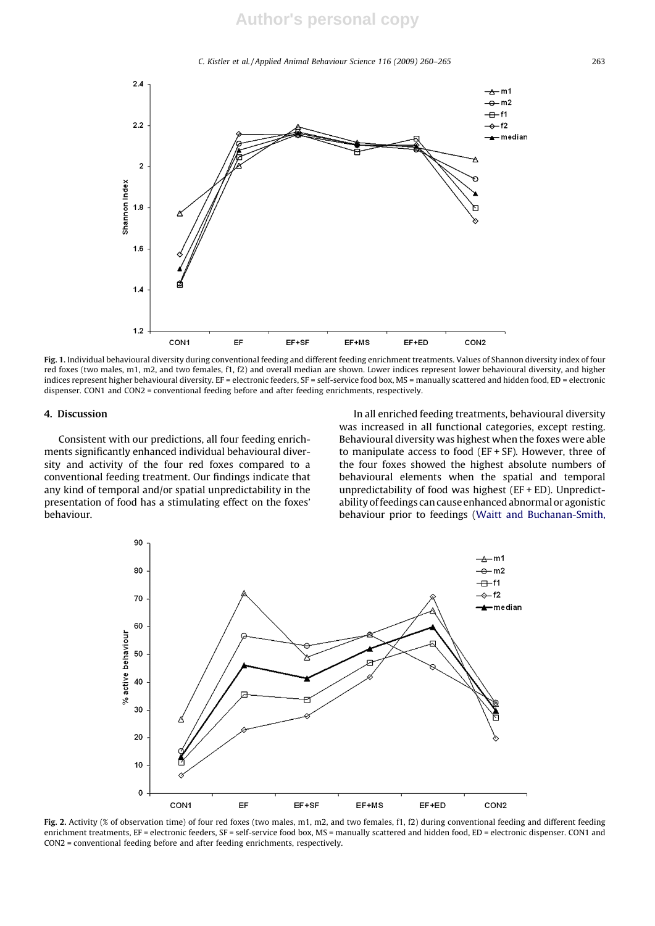C. Kistler et al. / Applied Animal Behaviour Science 116 (2009) 260–265 263



Fig. 1. Individual behavioural diversity during conventional feeding and different feeding enrichment treatments. Values of Shannon diversity index of four red foxes (two males, m1, m2, and two females, f1, f2) and overall median are shown. Lower indices represent lower behavioural diversity, and higher indices represent higher behavioural diversity. EF = electronic feeders, SF = self-service food box, MS = manually scattered and hidden food, ED = electronic dispenser. CON1 and CON2 = conventional feeding before and after feeding enrichments, respectively.

# 4. Discussion

Consistent with our predictions, all four feeding enrichments significantly enhanced individual behavioural diversity and activity of the four red foxes compared to a conventional feeding treatment. Our findings indicate that any kind of temporal and/or spatial unpredictability in the presentation of food has a stimulating effect on the foxes' behaviour.

In all enriched feeding treatments, behavioural diversity was increased in all functional categories, except resting. Behavioural diversity was highest when the foxes were able to manipulate access to food (EF + SF). However, three of the four foxes showed the highest absolute numbers of behavioural elements when the spatial and temporal unpredictability of food was highest (EF + ED). Unpredictability of feedings can cause enhanced abnormal or agonistic behaviour prior to feedings (Waitt and Buchanan-Smith,



Fig. 2. Activity (% of observation time) of four red foxes (two males, m1, m2, and two females, f1, f2) during conventional feeding and different feeding enrichment treatments, EF = electronic feeders, SF = self-service food box, MS = manually scattered and hidden food, ED = electronic dispenser. CON1 and CON2 = conventional feeding before and after feeding enrichments, respectively.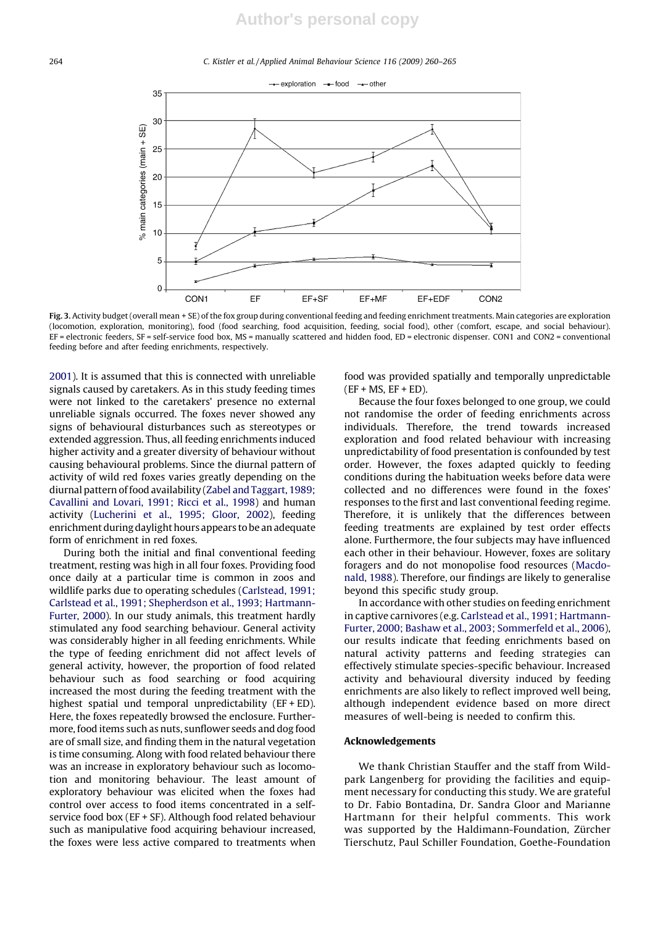264 C. Kistler et al. / Applied Animal Behaviour Science 116 (2009) 260–265



Fig. 3. Activity budget (overall mean + SE) of the fox group during conventional feeding and feeding enrichment treatments. Main categories are exploration (locomotion, exploration, monitoring), food (food searching, food acquisition, feeding, social food), other (comfort, escape, and social behaviour). EF = electronic feeders, SF = self-service food box, MS = manually scattered and hidden food, ED = electronic dispenser. CON1 and CON2 = conventional feeding before and after feeding enrichments, respectively.

2001). It is assumed that this is connected with unreliable signals caused by caretakers. As in this study feeding times were not linked to the caretakers' presence no external unreliable signals occurred. The foxes never showed any signs of behavioural disturbances such as stereotypes or extended aggression. Thus, all feeding enrichments induced higher activity and a greater diversity of behaviour without causing behavioural problems. Since the diurnal pattern of activity of wild red foxes varies greatly depending on the diurnal pattern of food availability (Zabel and Taggart, 1989; Cavallini and Lovari, 1991; Ricci et al., 1998) and human activity (Lucherini et al., 1995; Gloor, 2002), feeding enrichment during daylight hours appears to be an adequate form of enrichment in red foxes.

During both the initial and final conventional feeding treatment, resting was high in all four foxes. Providing food once daily at a particular time is common in zoos and wildlife parks due to operating schedules (Carlstead, 1991; Carlstead et al., 1991; Shepherdson et al., 1993; Hartmann-Furter, 2000). In our study animals, this treatment hardly stimulated any food searching behaviour. General activity was considerably higher in all feeding enrichments. While the type of feeding enrichment did not affect levels of general activity, however, the proportion of food related behaviour such as food searching or food acquiring increased the most during the feeding treatment with the highest spatial und temporal unpredictability (EF + ED). Here, the foxes repeatedly browsed the enclosure. Furthermore, food items such as nuts, sunflower seeds and dog food are of small size, and finding them in the natural vegetation is time consuming. Along with food related behaviour there was an increase in exploratory behaviour such as locomotion and monitoring behaviour. The least amount of exploratory behaviour was elicited when the foxes had control over access to food items concentrated in a selfservice food box (EF + SF). Although food related behaviour such as manipulative food acquiring behaviour increased, the foxes were less active compared to treatments when

food was provided spatially and temporally unpredictable  $(EF + MS, EF + ED)$ .

Because the four foxes belonged to one group, we could not randomise the order of feeding enrichments across individuals. Therefore, the trend towards increased exploration and food related behaviour with increasing unpredictability of food presentation is confounded by test order. However, the foxes adapted quickly to feeding conditions during the habituation weeks before data were collected and no differences were found in the foxes' responses to the first and last conventional feeding regime. Therefore, it is unlikely that the differences between feeding treatments are explained by test order effects alone. Furthermore, the four subjects may have influenced each other in their behaviour. However, foxes are solitary foragers and do not monopolise food resources (Macdonald, 1988). Therefore, our findings are likely to generalise beyond this specific study group.

In accordance with other studies on feeding enrichment in captive carnivores (e.g. Carlstead et al., 1991; Hartmann-Furter, 2000; Bashaw et al., 2003; Sommerfeld et al., 2006), our results indicate that feeding enrichments based on natural activity patterns and feeding strategies can effectively stimulate species-specific behaviour. Increased activity and behavioural diversity induced by feeding enrichments are also likely to reflect improved well being, although independent evidence based on more direct measures of well-being is needed to confirm this.

# Acknowledgements

We thank Christian Stauffer and the staff from Wildpark Langenberg for providing the facilities and equipment necessary for conducting this study. We are grateful to Dr. Fabio Bontadina, Dr. Sandra Gloor and Marianne Hartmann for their helpful comments. This work was supported by the Haldimann-Foundation, Zürcher Tierschutz, Paul Schiller Foundation, Goethe-Foundation